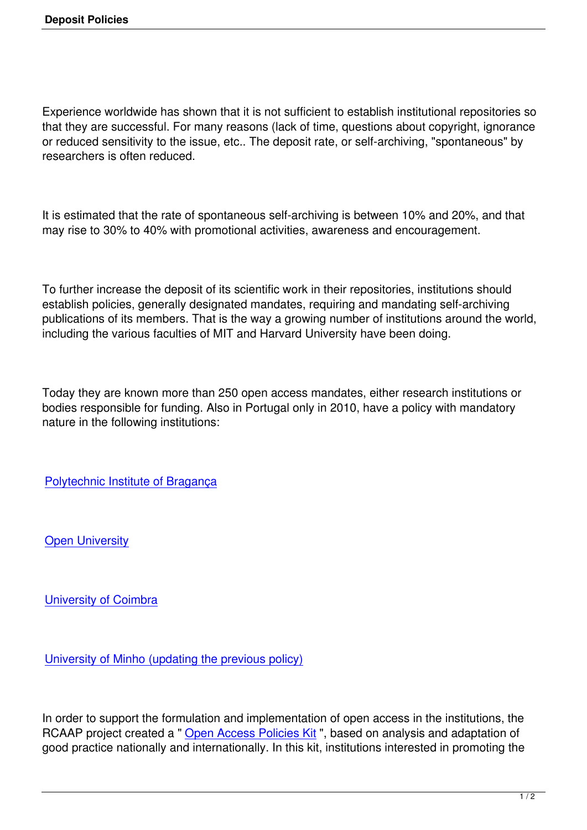Experience worldwide has shown that it is not sufficient to establish institutional repositories so that they are successful. For many reasons (lack of time, questions about copyright, ignorance or reduced sensitivity to the issue, etc.. The deposit rate, or self-archiving, "spontaneous" by researchers is often reduced.

It is estimated that the rate of spontaneous self-archiving is between 10% and 20%, and that may rise to 30% to 40% with promotional activities, awareness and encouragement.

To further increase the deposit of its scientific work in their repositories, institutions should establish policies, generally designated mandates, requiring and mandating self-archiving publications of its members. That is the way a growing number of institutions around the world, including the various faculties of MIT and Harvard University have been doing.

Today they are known more than 250 open access mandates, either research institutions or bodies responsible for funding. Also in Portugal only in 2010, have a policy with mandatory nature in the following institutions:

Polytechnic Institute of Bragança

[Open University](http://www.ipb.pt)

[University of Coi](http://www.uab.pt)mbra

[University of Minho \(u](http://www.uc.pt)pdating the previous policy)

[In order to support the formulation and implementa](http://www.uminho.pt)tion of open access in the institutions, the RCAAP project created a " Open Access Policies Kit ", based on analysis and adaptation of good practice nationally and internationally. In this kit, institutions interested in promoting the